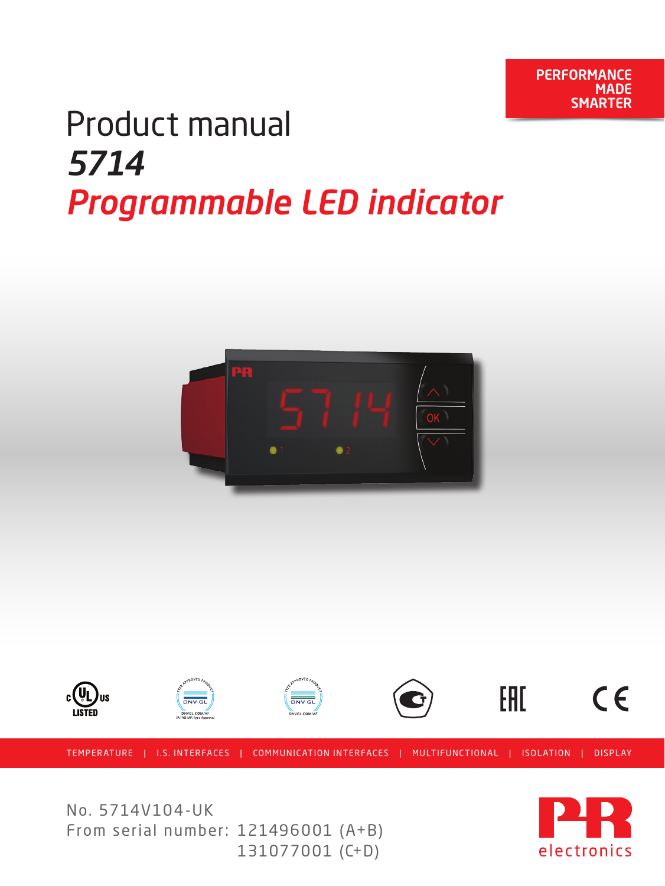## Product manual *5714 Programmable LED indicator*





No. 5714V104-UK From serial number: 121496001 (A+B) 131077001 (C+D)

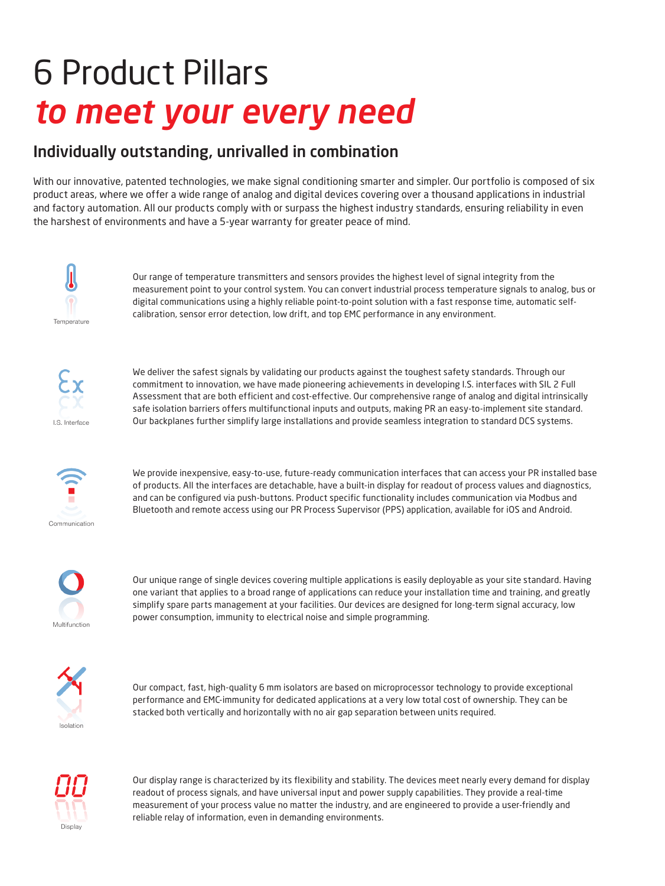# 6 Product Pillars *to meet your every need*

### Individually outstanding, unrivalled in combination

With our innovative, patented technologies, we make signal conditioning smarter and simpler. Our portfolio is composed of six product areas, where we offer a wide range of analog and digital devices covering over a thousand applications in industrial and factory automation. All our products comply with or surpass the highest industry standards, ensuring reliability in even the harshest of environments and have a 5-year warranty for greater peace of mind.



Our range of temperature transmitters and sensors provides the highest level of signal integrity from the measurement point to your control system. You can convert industrial process temperature signals to analog, bus or digital communications using a highly reliable point-to-point solution with a fast response time, automatic selfcalibration, sensor error detection, low drift, and top EMC performance in any environment.



We deliver the safest signals by validating our products against the toughest safety standards. Through our commitment to innovation, we have made pioneering achievements in developing I.S. interfaces with SIL 2 Full Assessment that are both efficient and cost-effective. Our comprehensive range of analog and digital intrinsically safe isolation barriers offers multifunctional inputs and outputs, making PR an easy-to-implement site standard. Our backplanes further simplify large installations and provide seamless integration to standard DCS systems.



We provide inexpensive, easy-to-use, future-ready communication interfaces that can access your PR installed base of products. All the interfaces are detachable, have a built-in display for readout of process values and diagnostics, and can be configured via push-buttons. Product specific functionality includes communication via Modbus and Bluetooth and remote access using our PR Process Supervisor (PPS) application, available for iOS and Android.



Our unique range of single devices covering multiple applications is easily deployable as your site standard. Having one variant that applies to a broad range of applications can reduce your installation time and training, and greatly simplify spare parts management at your facilities. Our devices are designed for long-term signal accuracy, low power consumption, immunity to electrical noise and simple programming.



Our compact, fast, high-quality 6 mm isolators are based on microprocessor technology to provide exceptional performance and EMC-immunity for dedicated applications at a very low total cost of ownership. They can be stacked both vertically and horizontally with no air gap separation between units required.



Our display range is characterized by its flexibility and stability. The devices meet nearly every demand for display readout of process signals, and have universal input and power supply capabilities. They provide a real-time measurement of your process value no matter the industry, and are engineered to provide a user-friendly and reliable relay of information, even in demanding environments.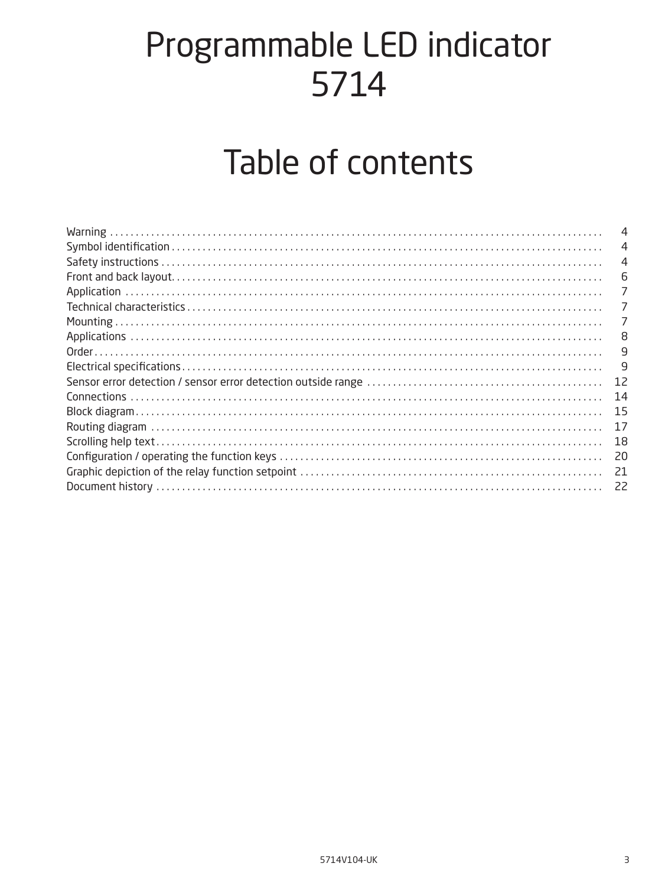## Programmable LED indicator 5714

## Table of contents

|                                                                                                                                                                                                                                                                                                                                                                                                                                                                                                                                                                                                   | 4  |
|---------------------------------------------------------------------------------------------------------------------------------------------------------------------------------------------------------------------------------------------------------------------------------------------------------------------------------------------------------------------------------------------------------------------------------------------------------------------------------------------------------------------------------------------------------------------------------------------------|----|
|                                                                                                                                                                                                                                                                                                                                                                                                                                                                                                                                                                                                   | 4  |
| $\textbf{Front and back layout.} \label{def:1} \vspace{-0.1in} \textbf{Front and back layout.} \vspace{-0.1in} \textbf{Output} \textbf{Output} \textbf{Output} \textbf{Output} \textbf{Output} \textbf{Output} \textbf{Output} \textbf{Output} \textbf{Output} \textbf{Output} \textbf{Output} \textbf{Output} \textbf{Output} \textbf{Output} \textbf{Output} \textbf{Output} \textbf{Output} \textbf{Output} \textbf{Output} \textbf{Output} \textbf{Output} \textbf{Output} \textbf{Output} \textbf{Output} \textbf{Output} \textbf{Output} \textbf{Output} \textbf{Output} \textbf{Output} \$ | 6  |
|                                                                                                                                                                                                                                                                                                                                                                                                                                                                                                                                                                                                   | 7  |
|                                                                                                                                                                                                                                                                                                                                                                                                                                                                                                                                                                                                   | 7  |
| Mounting<br>Applications<br>Order                                                                                                                                                                                                                                                                                                                                                                                                                                                                                                                                                                 | 7  |
|                                                                                                                                                                                                                                                                                                                                                                                                                                                                                                                                                                                                   | 8  |
|                                                                                                                                                                                                                                                                                                                                                                                                                                                                                                                                                                                                   | 9  |
|                                                                                                                                                                                                                                                                                                                                                                                                                                                                                                                                                                                                   | 9  |
|                                                                                                                                                                                                                                                                                                                                                                                                                                                                                                                                                                                                   | 12 |
| Connections<br>Block diagram                                                                                                                                                                                                                                                                                                                                                                                                                                                                                                                                                                      | 14 |
|                                                                                                                                                                                                                                                                                                                                                                                                                                                                                                                                                                                                   | 15 |
|                                                                                                                                                                                                                                                                                                                                                                                                                                                                                                                                                                                                   | 17 |
|                                                                                                                                                                                                                                                                                                                                                                                                                                                                                                                                                                                                   | 18 |
|                                                                                                                                                                                                                                                                                                                                                                                                                                                                                                                                                                                                   | 20 |
|                                                                                                                                                                                                                                                                                                                                                                                                                                                                                                                                                                                                   | 21 |
|                                                                                                                                                                                                                                                                                                                                                                                                                                                                                                                                                                                                   |    |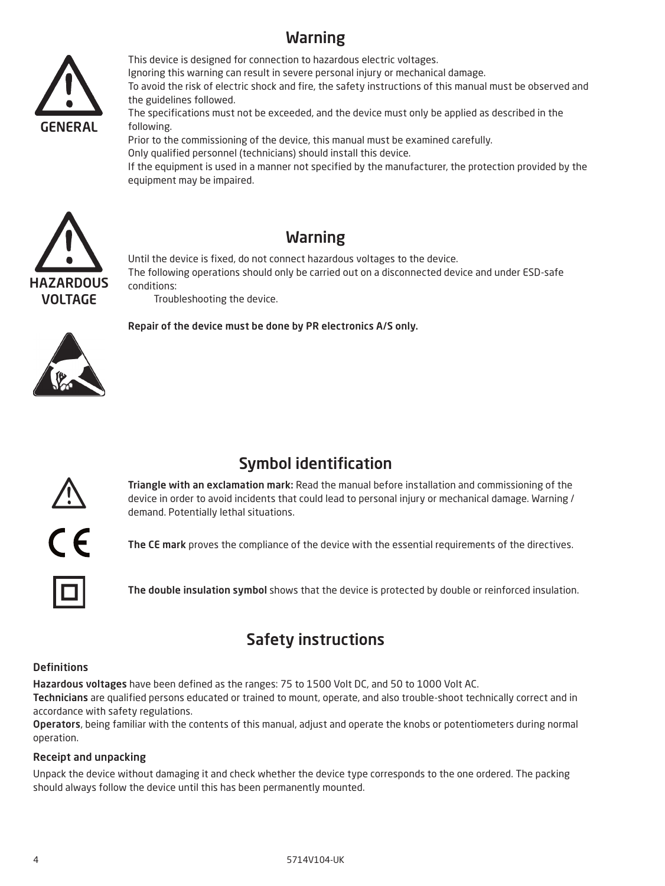## Warning

<span id="page-3-0"></span>

This device is designed for connection to hazardous electric voltages. Ignoring this warning can result in severe personal injury or mechanical damage. To avoid the risk of electric shock and fire, the safety instructions of this manual must be observed and the guidelines followed.

The specifications must not be exceeded, and the device must only be applied as described in the following.

Prior to the commissioning of the device, this manual must be examined carefully. Only qualified personnel (technicians) should install this device.

If the equipment is used in a manner not specified by the manufacturer, the protection provided by the equipment may be impaired.



### Warning

Until the device is fixed, do not connect hazardous voltages to the device. The following operations should only be carried out on a disconnected device and under ESD-safe conditions:

Troubleshooting the device.

Repair of the device must be done by PR electronics A/S only.



## Symbol identification



Triangle with an exclamation mark: Read the manual before installation and commissioning of the device in order to avoid incidents that could lead to personal injury or mechanical damage. Warning / demand. Potentially lethal situations.

The CE mark proves the compliance of the device with the essential requirements of the directives.

The double insulation symbol shows that the device is protected by double or reinforced insulation.

## Safety instructions

#### **Definitions**

Hazardous voltages have been defined as the ranges: 75 to 1500 Volt DC, and 50 to 1000 Volt AC.

Technicians are qualified persons educated or trained to mount, operate, and also trouble-shoot technically correct and in accordance with safety regulations.

Operators, being familiar with the contents of this manual, adjust and operate the knobs or potentiometers during normal operation.

#### Receipt and unpacking

Unpack the device without damaging it and check whether the device type corresponds to the one ordered. The packing should always follow the device until this has been permanently mounted.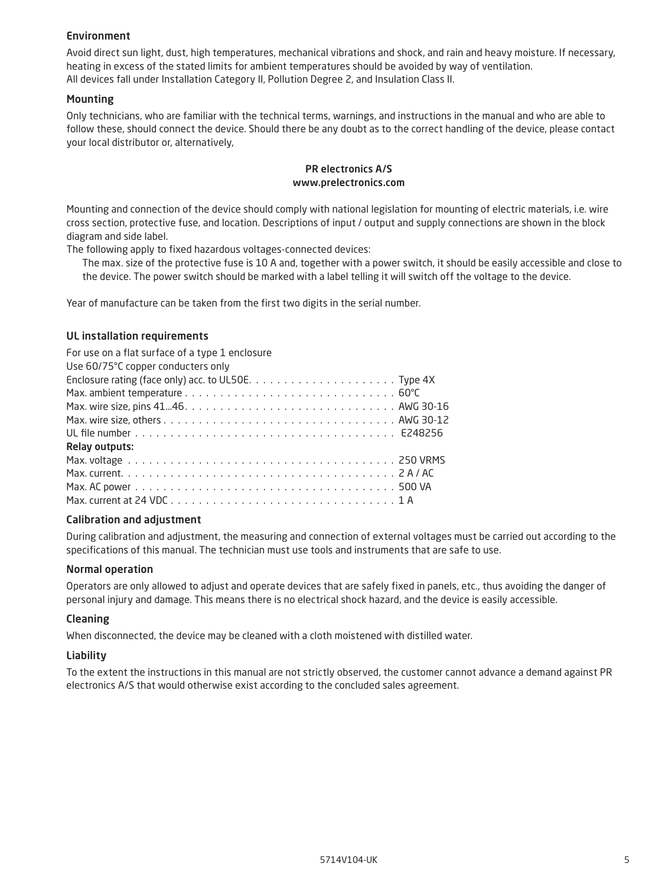#### Environment

Avoid direct sun light, dust, high temperatures, mechanical vibrations and shock, and rain and heavy moisture. If necessary, heating in excess of the stated limits for ambient temperatures should be avoided by way of ventilation. All devices fall under Installation Category II, Pollution Degree 2, and Insulation Class II.

#### Mounting

Only technicians, who are familiar with the technical terms, warnings, and instructions in the manual and who are able to follow these, should connect the device. Should there be any doubt as to the correct handling of the device, please contact your local distributor or, alternatively,

#### PR electronics A/S www.prelectronics.com

Mounting and connection of the device should comply with national legislation for mounting of electric materials, i.e. wire cross section, protective fuse, and location. Descriptions of input / output and supply connections are shown in the block diagram and side label.

The following apply to fixed hazardous voltages-connected devices:

 The max. size of the protective fuse is 10 A and, together with a power switch, it should be easily accessible and close to the device. The power switch should be marked with a label telling it will switch off the voltage to the device.

Year of manufacture can be taken from the first two digits in the serial number.

#### UL installation requirements

| For use on a flat surface of a type 1 enclosure |  |  |  |  |  |  |  |  |  |  |
|-------------------------------------------------|--|--|--|--|--|--|--|--|--|--|
| Use 60/75°C copper conducters only              |  |  |  |  |  |  |  |  |  |  |
|                                                 |  |  |  |  |  |  |  |  |  |  |
|                                                 |  |  |  |  |  |  |  |  |  |  |
|                                                 |  |  |  |  |  |  |  |  |  |  |
|                                                 |  |  |  |  |  |  |  |  |  |  |
|                                                 |  |  |  |  |  |  |  |  |  |  |
| <b>Relay outputs:</b>                           |  |  |  |  |  |  |  |  |  |  |
|                                                 |  |  |  |  |  |  |  |  |  |  |
|                                                 |  |  |  |  |  |  |  |  |  |  |
|                                                 |  |  |  |  |  |  |  |  |  |  |
|                                                 |  |  |  |  |  |  |  |  |  |  |

#### Calibration and adjustment

During calibration and adjustment, the measuring and connection of external voltages must be carried out according to the specifications of this manual. The technician must use tools and instruments that are safe to use.

#### Normal operation

Operators are only allowed to adjust and operate devices that are safely fixed in panels, etc., thus avoiding the danger of personal injury and damage. This means there is no electrical shock hazard, and the device is easily accessible.

#### Cleaning

When disconnected, the device may be cleaned with a cloth moistened with distilled water.

#### Liability

To the extent the instructions in this manual are not strictly observed, the customer cannot advance a demand against PR electronics A/S that would otherwise exist according to the concluded sales agreement.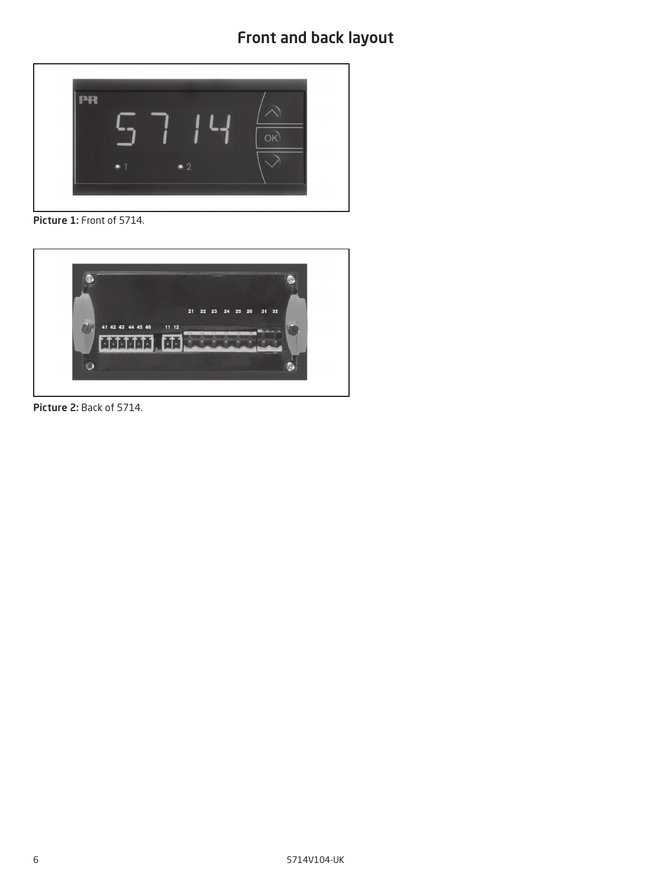<span id="page-5-0"></span>

Picture 1: Front of 5714.



Picture 2: Back of 5714.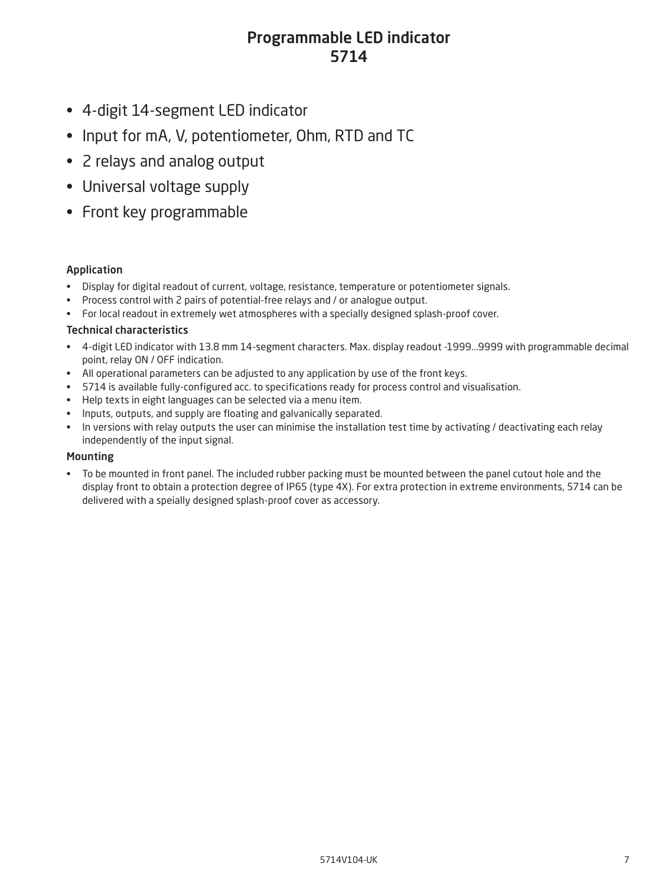### Programmable LED indicator 5714

- <span id="page-6-0"></span>• 4-digit 14-segment LED indicator
- Input for mA, V, potentiometer, Ohm, RTD and TC
- 2 relays and analog output
- Universal voltage supply
- Front key programmable

### Application

- Display for digital readout of current, voltage, resistance, temperature or potentiometer signals.
- Process control with 2 pairs of potential-free relays and / or analogue output.
- For local readout in extremely wet atmospheres with a specially designed splash-proof cover.

#### Technical characteristics

- 4-digit LED indicator with 13.8 mm 14-segment characters. Max. display readout -1999...9999 with programmable decimal point, relay ON / OFF indication.
- All operational parameters can be adjusted to any application by use of the front keys.
- 5714 is available fully-configured acc. to specifications ready for process control and visualisation.
- Help texts in eight languages can be selected via a menu item.
- Inputs, outputs, and supply are floating and galvanically separated.
- In versions with relay outputs the user can minimise the installation test time by activating / deactivating each relay independently of the input signal.

#### Mounting

• To be mounted in front panel. The included rubber packing must be mounted between the panel cutout hole and the display front to obtain a protection degree of IP65 (type 4X). For extra protection in extreme environments, 5714 can be delivered with a speially designed splash-proof cover as accessory.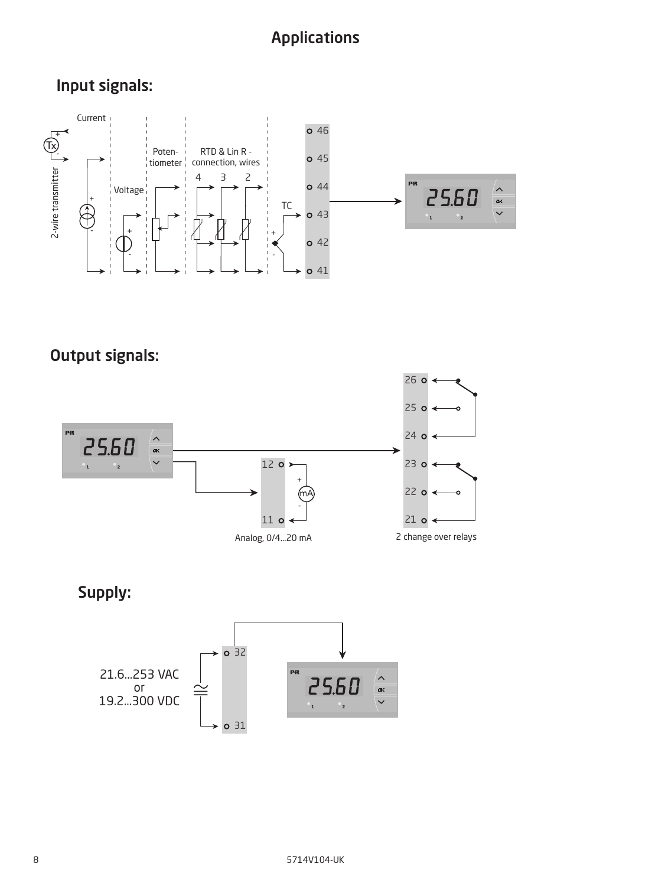## Applications

<span id="page-7-0"></span>Input signals:



Output signals:



Supply:

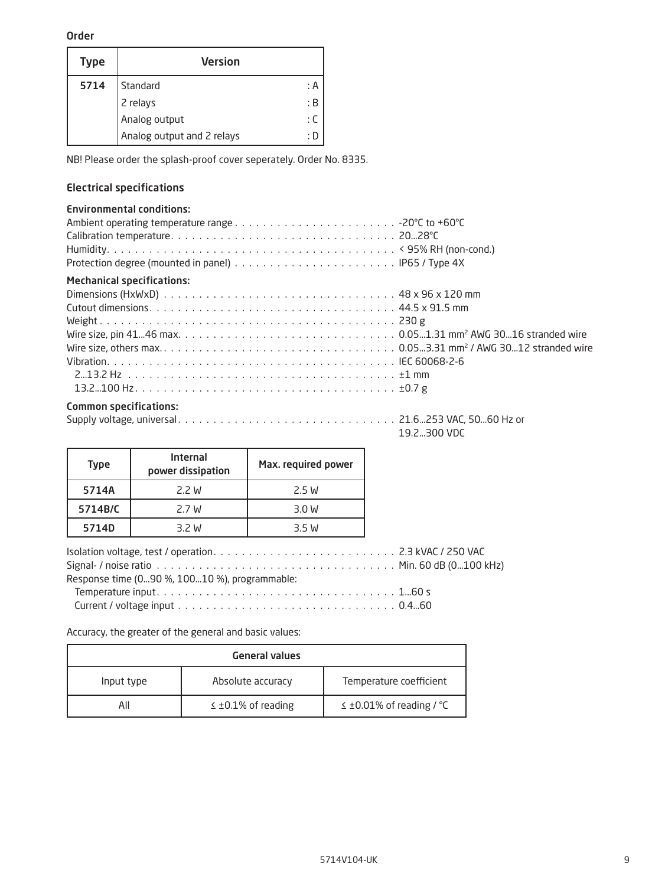#### <span id="page-8-0"></span>Order

| <b>Type</b> | <b>Version</b>             |     |
|-------------|----------------------------|-----|
| 5714        | Standard                   | : A |
|             | 2 relays                   | : B |
|             | Analog output              | : ር |
|             | Analog output and 2 relays |     |

NB! Please order the splash-proof cover seperately. Order No. 8335.

#### Electrical specifications

#### Environmental conditions:

| <b>Mechanical specifications:</b> |
|-----------------------------------|
|                                   |
|                                   |
|                                   |
|                                   |
|                                   |
|                                   |
|                                   |
|                                   |

### Common specifications:

Supply voltage, universal . 21.6...253 VAC, 50...60 Hz or

19.2...300 VDC

| <b>Type</b> | <b>Internal</b><br>power dissipation | Max. required power |
|-------------|--------------------------------------|---------------------|
| 5714A       | 2.2 W                                | 2.5 W               |
| 5714B/C     | 2.7 W                                | 3.0 W               |
| 5714D       | 3.2 W                                | 3.5 W               |
|             |                                      |                     |

| Response time (090 %, 10010 %), programmable: |  |
|-----------------------------------------------|--|
|                                               |  |
|                                               |  |
|                                               |  |

Accuracy, the greater of the general and basic values:

| <b>General values</b> |                             |                               |  |  |  |  |  |  |
|-----------------------|-----------------------------|-------------------------------|--|--|--|--|--|--|
| Input type            | Absolute accuracy           | Temperature coefficient       |  |  |  |  |  |  |
| All                   | $\leq \pm 0.1\%$ of reading | $\leq$ ±0.01% of reading / °C |  |  |  |  |  |  |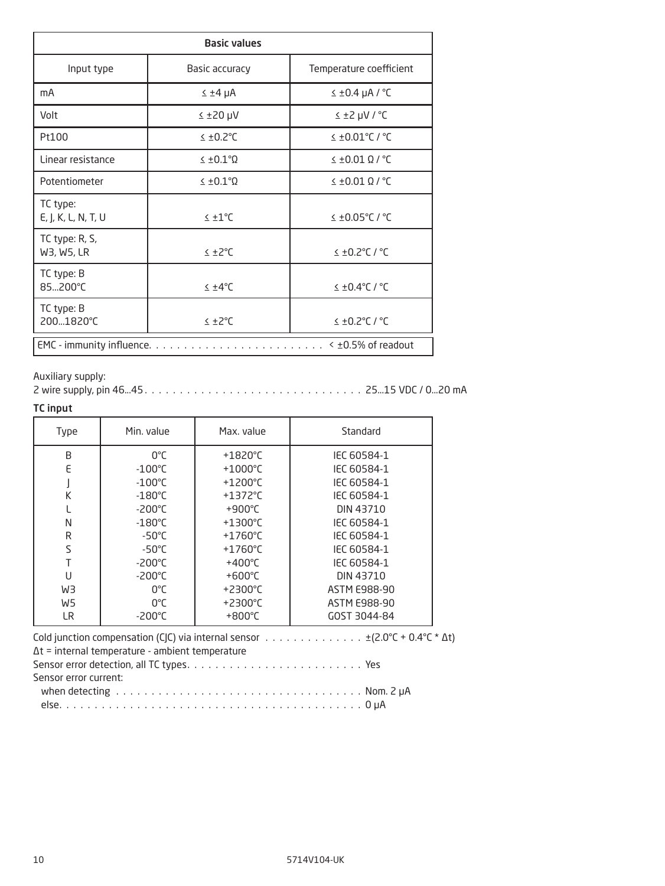| <b>Basic values</b>                             |                           |                         |  |  |  |  |  |  |  |  |
|-------------------------------------------------|---------------------------|-------------------------|--|--|--|--|--|--|--|--|
| Input type                                      | Basic accuracy            | Temperature coefficient |  |  |  |  |  |  |  |  |
| mA                                              | $\leq \pm 4$ µA           | $≤ ±0.4$ µA / °C        |  |  |  |  |  |  |  |  |
| Volt                                            | $Y$ ų 0S $±$              | $2^{\circ}$ / Vu S ± 2  |  |  |  |  |  |  |  |  |
| Pt100                                           | $≤$ ±0.2°C                | $\leq$ ±0.01°C / °C     |  |  |  |  |  |  |  |  |
| Linear resistance                               | $\leq \pm 0.1$ °Q         | $\leq$ ±0.01 Q / °C     |  |  |  |  |  |  |  |  |
| Potentiometer                                   | $\leq \pm 0.1$ ° $\Omega$ | $\leq$ ±0.01 Ω / °C     |  |  |  |  |  |  |  |  |
| TC type:<br>E, J, K, L, N, T, U                 | $\leq \pm 1$ °C           | $≤$ ±0.05°C / °C        |  |  |  |  |  |  |  |  |
| TC type: R, S,<br>W3, W5, LR                    | $≤+2°C$                   | $\leq$ ±0.2°C / °C      |  |  |  |  |  |  |  |  |
| TC type: B<br>85200°C                           | $\leq \pm 4^{\circ}$ C    | $\leq$ ±0.4°C / °C      |  |  |  |  |  |  |  |  |
| TC type: B<br>2001820°C                         | ≤ ±2°C                    | $1°$ / $7°$ C.0± $\ge$  |  |  |  |  |  |  |  |  |
| < ±0.5% of readout<br>EMC - immunity influence. |                           |                         |  |  |  |  |  |  |  |  |

Auxiliary supply:

2 wire supply, pin 46...45 . 25...15 VDC / 0...20 mA

#### TC input

| Type                                                                                                                                                                                                            | Min. value                                           | Max. value        | Standard     |  |  |  |  |  |  |  |  |
|-----------------------------------------------------------------------------------------------------------------------------------------------------------------------------------------------------------------|------------------------------------------------------|-------------------|--------------|--|--|--|--|--|--|--|--|
| B                                                                                                                                                                                                               | 0°C                                                  | $+1820^{\circ}$ C | IEC 60584-1  |  |  |  |  |  |  |  |  |
| E                                                                                                                                                                                                               | $-100^{\circ}$ C                                     | $+1000^{\circ}$ C | IEC 60584-1  |  |  |  |  |  |  |  |  |
|                                                                                                                                                                                                                 | $-100^{\circ}$ C                                     | $+1200^{\circ}$ C | IEC 60584-1  |  |  |  |  |  |  |  |  |
| K                                                                                                                                                                                                               | $-180^{\circ}$ C                                     | $+1372^{\circ}$ C | IEC 60584-1  |  |  |  |  |  |  |  |  |
|                                                                                                                                                                                                                 | $-200^{\circ}$ C                                     | +900 $\degree$ C  | DIN 43710    |  |  |  |  |  |  |  |  |
| N                                                                                                                                                                                                               | $-180^{\circ}$ C                                     | $+1300^{\circ}$ C | IEC 60584-1  |  |  |  |  |  |  |  |  |
| R                                                                                                                                                                                                               | $-50^{\circ}$ C                                      | $+1760^{\circ}$ C | IEC 60584-1  |  |  |  |  |  |  |  |  |
| S                                                                                                                                                                                                               | $-50^{\circ}$ C                                      | $+1760^{\circ}$ C | IEC 60584-1  |  |  |  |  |  |  |  |  |
| T                                                                                                                                                                                                               | $-200^{\circ}$ C                                     | $+400^{\circ}$ C  | IEC 60584-1  |  |  |  |  |  |  |  |  |
| U                                                                                                                                                                                                               | $-200^{\circ}$ C                                     | $+600^{\circ}$ C  | DIN 43710    |  |  |  |  |  |  |  |  |
| WЗ                                                                                                                                                                                                              | $0^{\circ}$ C                                        | $+2300^{\circ}$ C | ASTM E988-90 |  |  |  |  |  |  |  |  |
| W5                                                                                                                                                                                                              | $0^{\circ}$ C                                        | $+2300^{\circ}$ C | ASTM E988-90 |  |  |  |  |  |  |  |  |
| LR.                                                                                                                                                                                                             | $-200^{\circ}$ C<br>$+800^{\circ}$ C<br>GOST 3044-84 |                   |              |  |  |  |  |  |  |  |  |
| Cold junction compensation (CJC) via internal sensor $\ldots \ldots \ldots \ldots \ldots \pm (2.0^{\circ}\text{C} + 0.4^{\circ}\text{C} * \Delta t)$<br>$\Delta t$ = internal temperature - ambient temperature |                                                      |                   |              |  |  |  |  |  |  |  |  |

Sensor error current:

| when detecting ratio contains a subset of the contract of the contract of the contract of the details when the detail of the details of the details of the details of the details of the details of the details of the details |  |  |  |  |  |  |  |  |  |  |  |  |  |  |  |  |  |  |  |  |  |  |  |  |  |  |  |  |  |  |  |  |
|--------------------------------------------------------------------------------------------------------------------------------------------------------------------------------------------------------------------------------|--|--|--|--|--|--|--|--|--|--|--|--|--|--|--|--|--|--|--|--|--|--|--|--|--|--|--|--|--|--|--|--|
|--------------------------------------------------------------------------------------------------------------------------------------------------------------------------------------------------------------------------------|--|--|--|--|--|--|--|--|--|--|--|--|--|--|--|--|--|--|--|--|--|--|--|--|--|--|--|--|--|--|--|--|

|--|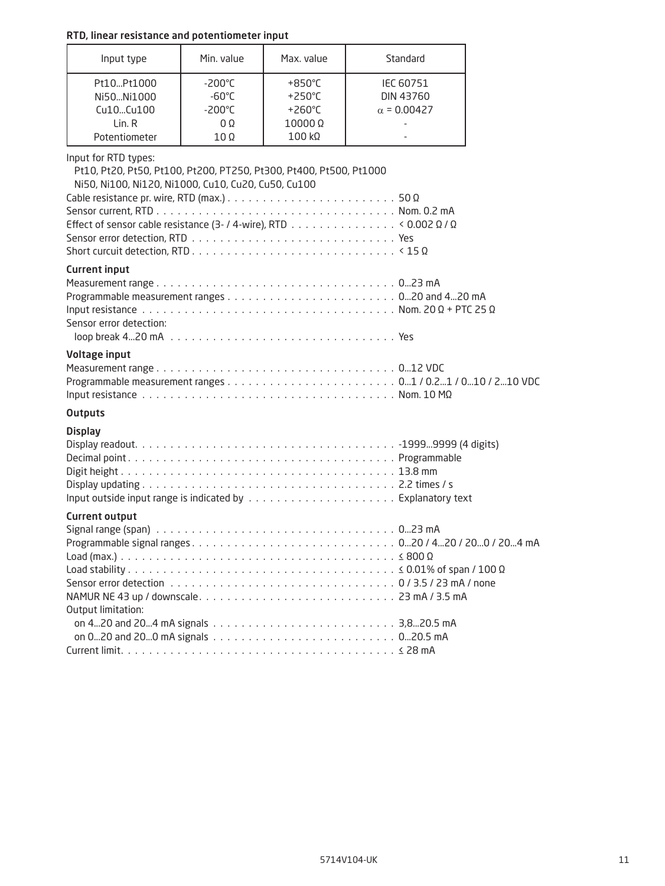| RTD, linear resistance and potentiometer input                                                                                                                                                                                                                                                                                                                   |                                                                                         |                                                                                              |                                              |  |
|------------------------------------------------------------------------------------------------------------------------------------------------------------------------------------------------------------------------------------------------------------------------------------------------------------------------------------------------------------------|-----------------------------------------------------------------------------------------|----------------------------------------------------------------------------------------------|----------------------------------------------|--|
| Input type                                                                                                                                                                                                                                                                                                                                                       | Min. value                                                                              | Max. value                                                                                   | Standard                                     |  |
| Pt10Pt1000<br>Ni50Ni1000<br>Cu10Cu100<br>Lin. R<br>Potentiometer                                                                                                                                                                                                                                                                                                 | $-200^{\circ}$ C<br>$-60^{\circ}$ C<br>$-200^{\circ}$ C<br>$0\Omega$<br>10 <sub>Ω</sub> | $+850^{\circ}$ C<br>$+250^{\circ}$ C<br>$+260^{\circ}$ C<br>$10000\ \Omega$<br>$100 k\Omega$ | IEC 60751<br>DIN 43760<br>$\alpha$ = 0.00427 |  |
| Input for RTD types:<br>Pt10, Pt20, Pt50, Pt100, Pt200, PT250, Pt300, Pt400, Pt500, Pt1000<br>Ni50, Ni100, Ni120, Ni1000, Cu10, Cu20, Cu50, Cu100<br>Cable resistance pr. wire, RTD (max.) $\ldots \ldots \ldots \ldots \ldots \ldots \ldots \ldots \ldots \ldots 50 \Omega$<br>Effect of sensor cable resistance (3- / 4-wire), RTD < 0.002 $\Omega$ / $\Omega$ |                                                                                         |                                                                                              |                                              |  |
| <b>Current input</b><br>Input resistance $\dots\dots\dots\dots\dots\dots\dots\dots\dots\dots\dots\dots\dots\dots$ Nom. 20 $\Omega$ + PTC 25 $\Omega$<br>Sensor error detection:                                                                                                                                                                                  |                                                                                         |                                                                                              |                                              |  |
| Voltage input                                                                                                                                                                                                                                                                                                                                                    |                                                                                         |                                                                                              |                                              |  |
| <b>Outputs</b>                                                                                                                                                                                                                                                                                                                                                   |                                                                                         |                                                                                              |                                              |  |
| <b>Display</b>                                                                                                                                                                                                                                                                                                                                                   |                                                                                         |                                                                                              |                                              |  |
| <b>Current output</b><br>Output limitation:                                                                                                                                                                                                                                                                                                                      |                                                                                         |                                                                                              |                                              |  |

on 0...20 and 20...0 mA signals . 0...20.5 mA Current limit . ≤ 28 mA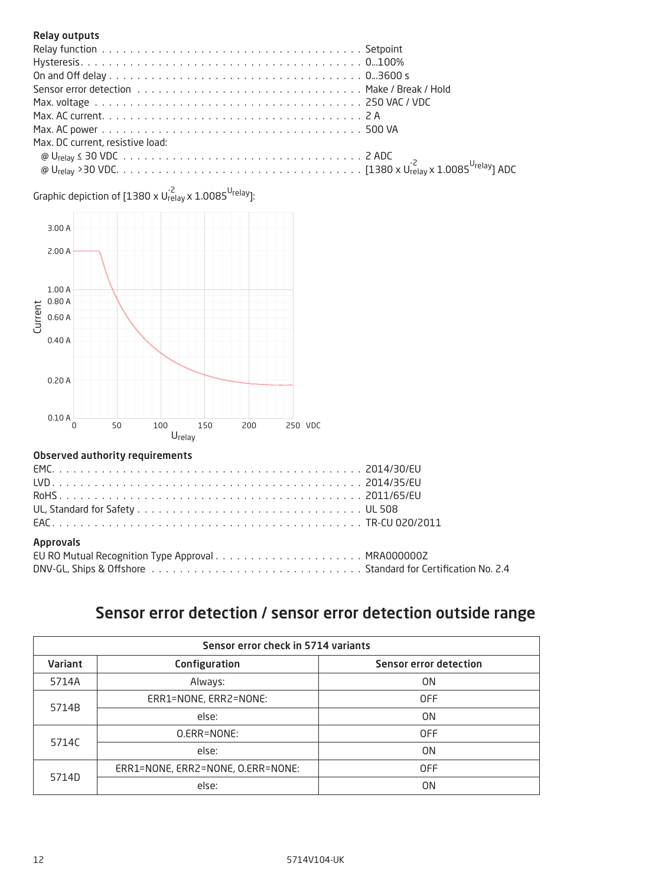#### <span id="page-11-0"></span>Relay outputs

| Max. DC current, resistive load: |  |
|----------------------------------|--|
|                                  |  |
|                                  |  |

Graphic depiction of [1380 x U $_{\rm relay}^{\text{-2}}$  x 1.0085  $^{\text{U}_\mathrm{relay}}$ ]:



#### Observed authority requirements

| <b>Approvals</b> |  |
|------------------|--|
|                  |  |
|                  |  |
|                  |  |

## Sensor error detection / sensor error detection outside range

| Sensor error check in 5714 variants |                                   |                               |  |  |
|-------------------------------------|-----------------------------------|-------------------------------|--|--|
| <b>Variant</b>                      | Configuration                     | <b>Sensor error detection</b> |  |  |
| 5714A                               | Always:                           | 0 <sub>N</sub>                |  |  |
|                                     | ERR1=NONE, ERR2=NONE:             | <b>OFF</b>                    |  |  |
| 5714B                               | else:                             | 0 <sub>N</sub>                |  |  |
| 5714C                               | O.ERR=NONE:                       | <b>OFF</b>                    |  |  |
|                                     | else:                             | 0 <sub>N</sub>                |  |  |
| 5714D                               | ERR1=NONE, ERR2=NONE, O.ERR=NONE: | <b>OFF</b>                    |  |  |
|                                     | else:                             | 0 <sub>N</sub>                |  |  |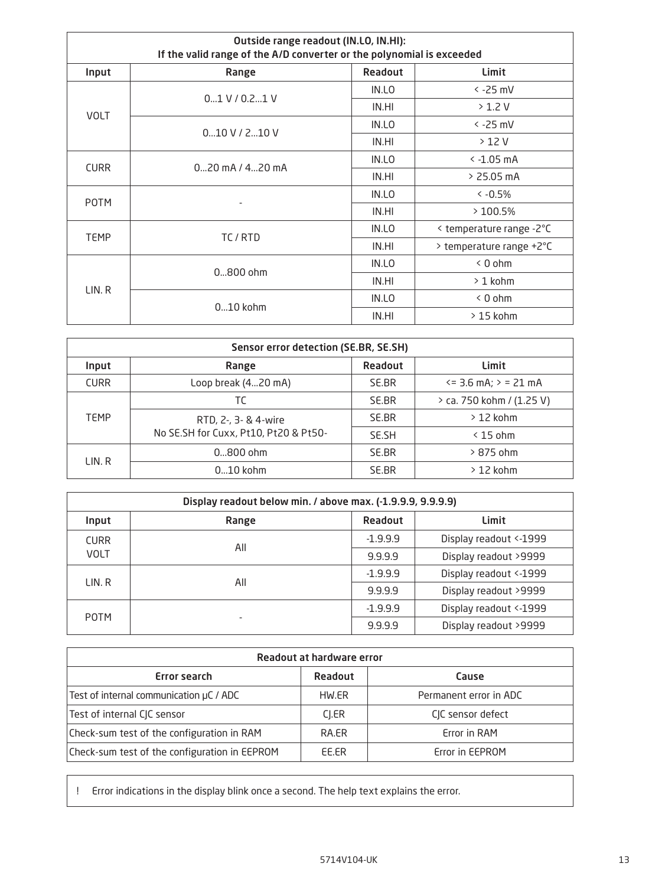| Outside range readout (IN.LO, IN.HI):<br>If the valid range of the A/D converter or the polynomial is exceeded |                           |       |                          |  |  |  |  |  |
|----------------------------------------------------------------------------------------------------------------|---------------------------|-------|--------------------------|--|--|--|--|--|
| Input                                                                                                          | Readout<br>Limit<br>Range |       |                          |  |  |  |  |  |
|                                                                                                                | $0.1 V / 0.2$ 1 V         | IN.LO | $\le$ -25 mV             |  |  |  |  |  |
| <b>VOLT</b>                                                                                                    |                           | IN.HI | $>1.2$ V                 |  |  |  |  |  |
|                                                                                                                | $0.10$ V / 2 $.10$ V      | IN.LO | $\le$ -25 mV             |  |  |  |  |  |
|                                                                                                                |                           | IN.HI | >12V                     |  |  |  |  |  |
| <b>CURR</b>                                                                                                    | $0$ 20 mA / 420 mA        | IN.LO | $\le$ -1.05 mA           |  |  |  |  |  |
|                                                                                                                |                           | IN.HI | $> 25.05$ mA             |  |  |  |  |  |
| <b>POTM</b>                                                                                                    |                           | IN.LO | $\leq -0.5\%$            |  |  |  |  |  |
|                                                                                                                |                           | IN.HI | >100.5%                  |  |  |  |  |  |
| <b>TEMP</b>                                                                                                    |                           |       | < temperature range -2°C |  |  |  |  |  |
|                                                                                                                | TC/RTD                    | IN.HI | > temperature range +2°C |  |  |  |  |  |
|                                                                                                                | $0800$ ohm                | IN.LO | $< 0$ ohm                |  |  |  |  |  |
| LIN.R                                                                                                          |                           | IN.HI | $>1$ kohm                |  |  |  |  |  |
|                                                                                                                | $010$ kohm                | IN.LO | < 0 ohm                  |  |  |  |  |  |
|                                                                                                                |                           | IN.HI | $>15$ kohm               |  |  |  |  |  |

| Sensor error detection (SE.BR, SE.SH) |                                                               |       |                                  |  |  |  |  |  |
|---------------------------------------|---------------------------------------------------------------|-------|----------------------------------|--|--|--|--|--|
| Input                                 | Readout<br>Limit<br>Range                                     |       |                                  |  |  |  |  |  |
| <b>CURR</b>                           | Loop break (420 mA)                                           | SE.BR | $\epsilon$ = 3.6 mA; $>$ = 21 mA |  |  |  |  |  |
| <b>TEMP</b>                           | TC                                                            | SE.BR | > ca. 750 kohm / (1.25 V)        |  |  |  |  |  |
|                                       | RTD, 2-, 3- & 4-wire<br>No SE.SH for Cuxx, Pt10, Pt20 & Pt50- | SE.BR | $>12$ kohm                       |  |  |  |  |  |
|                                       |                                                               | SE.SH | $\leq$ 15 ohm                    |  |  |  |  |  |
| LIN. R                                | $0800$ ohm                                                    | SE.BR | $>875$ ohm                       |  |  |  |  |  |
|                                       | $010$ kohm                                                    | SE.BR | $>12$ kohm                       |  |  |  |  |  |

| Display readout below min. / above max. (-1.9.9.9, 9.9.9.9) |                           |            |                         |  |  |  |  |  |
|-------------------------------------------------------------|---------------------------|------------|-------------------------|--|--|--|--|--|
| Input                                                       | Readout<br>Limit<br>Range |            |                         |  |  |  |  |  |
| <b>CURR</b>                                                 | All                       | $-1.9.9.9$ | Display readout <- 1999 |  |  |  |  |  |
| <b>VOLT</b>                                                 |                           | 9.9.9.9    | Display readout >9999   |  |  |  |  |  |
| LIN. R                                                      |                           | $-1.9.9.9$ | Display readout <- 1999 |  |  |  |  |  |
|                                                             | All                       | 9.9.9.9    | Display readout >9999   |  |  |  |  |  |
| <b>POTM</b>                                                 |                           | $-1.9.9.9$ | Display readout <- 1999 |  |  |  |  |  |
|                                                             |                           | 9.9.9.9    | Display readout >9999   |  |  |  |  |  |

| Readout at hardware error                     |         |                        |  |  |  |
|-----------------------------------------------|---------|------------------------|--|--|--|
| Error search                                  | Readout | Cause                  |  |  |  |
| Test of internal communication µC / ADC       | HW.ER   | Permanent error in ADC |  |  |  |
| Test of internal CJC sensor                   | CI.ER   | CIC sensor defect      |  |  |  |
| Check-sum test of the configuration in RAM    | RA.ER   | Error in RAM           |  |  |  |
| Check-sum test of the configuration in EEPROM | EE.ER   | Error in EEPROM        |  |  |  |

! Error indications in the display blink once a second. The help text explains the error.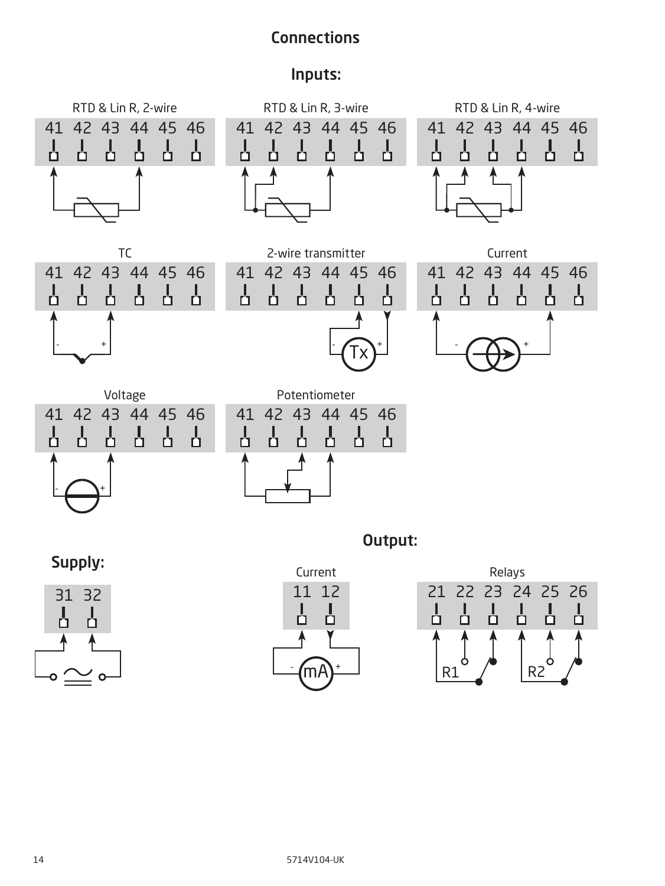## **Connections**

### Inputs:

<span id="page-13-0"></span>

Supply:





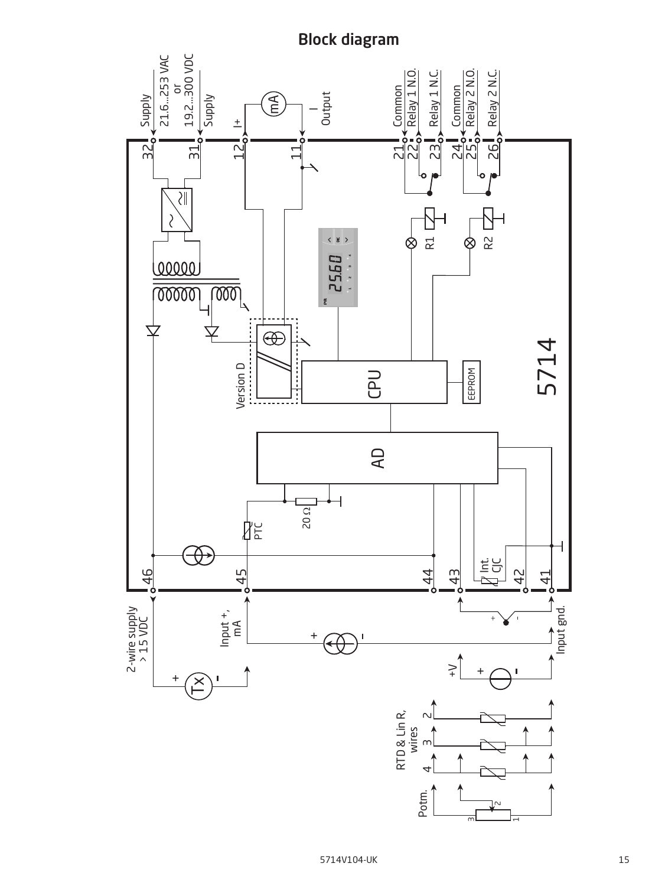<span id="page-14-0"></span>

## Block diagram

m

 $\overline{ }$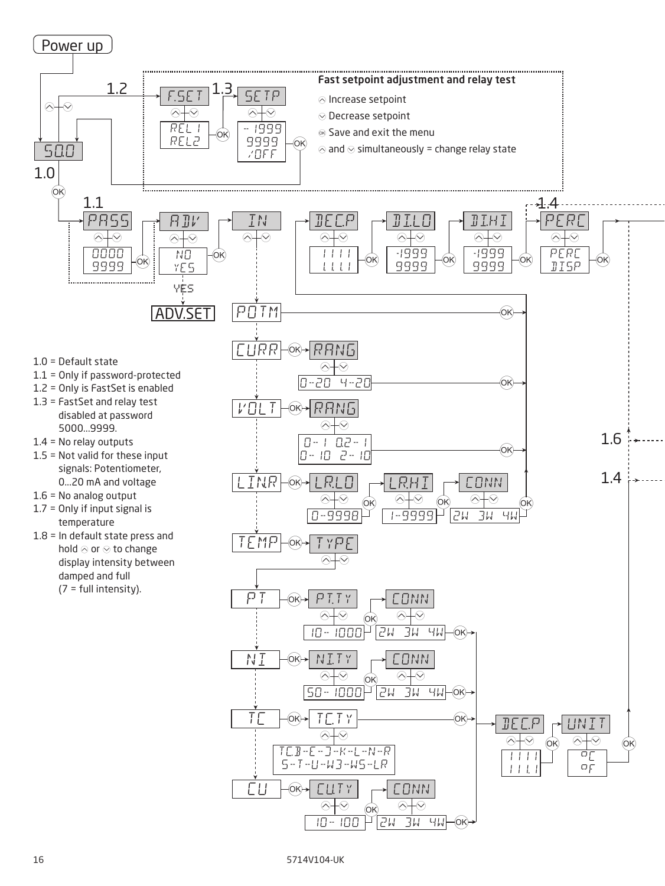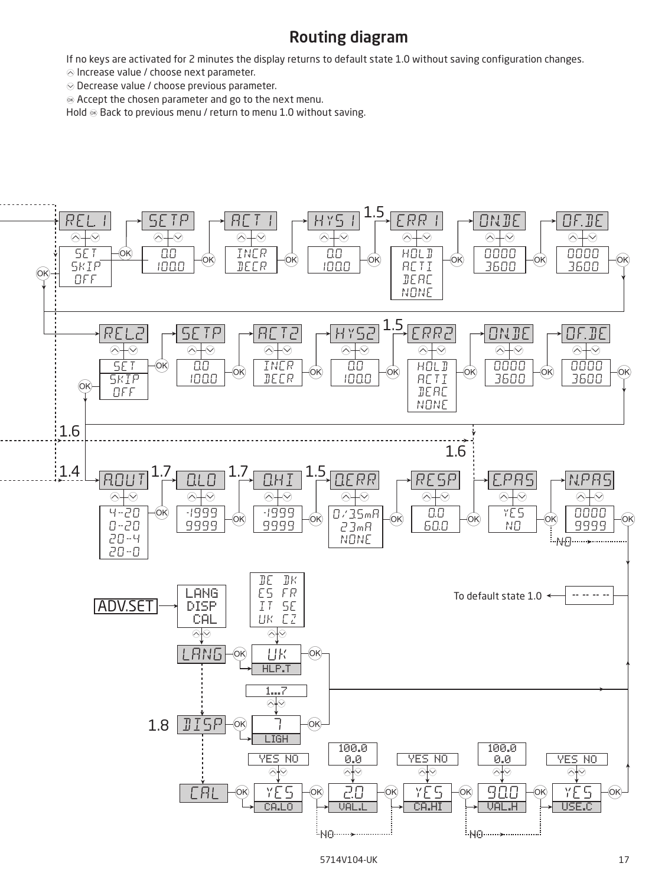### Routing diagram

<span id="page-16-0"></span>If no keys are activated for 2 minutes the display returns to default state 1.0 without saving configuration changes.

 $\odot$  Increase value / choose next parameter.

 $\odot$  Decrease value / choose previous parameter.

 $\otimes$  Accept the chosen parameter and go to the next menu.

Hold  $\otimes$  Back to previous menu / return to menu 1.0 without saving.

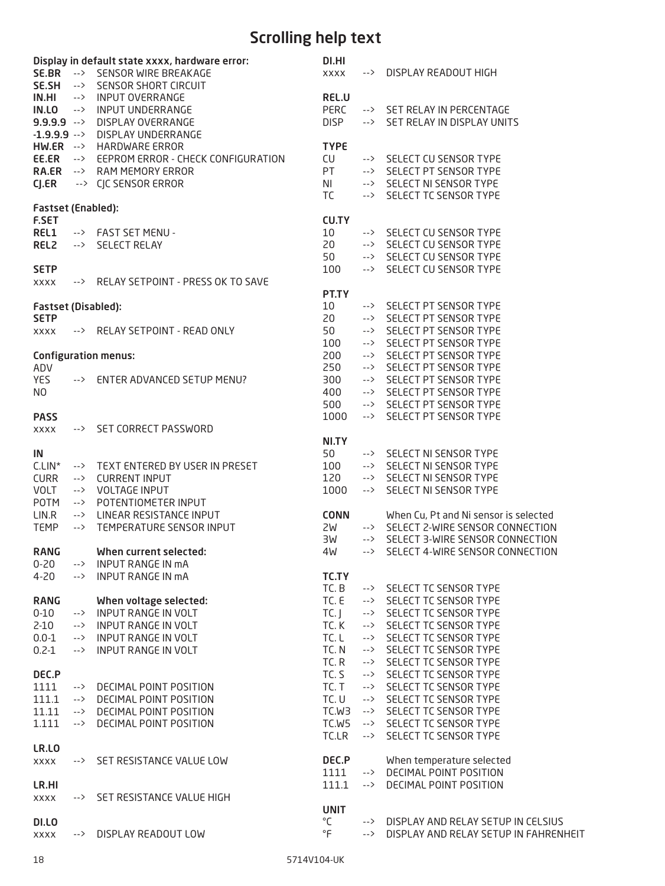## Scrolling help text

<span id="page-17-0"></span>

|                                           |                      | Display in default state xxxx, hardware error:         | DI.HI                    |               |                                                                              |
|-------------------------------------------|----------------------|--------------------------------------------------------|--------------------------|---------------|------------------------------------------------------------------------------|
|                                           |                      | SE.BR --> SENSOR WIRE BREAKAGE                         | <b>XXXX</b>              |               | --> DISPLAY READOUT HIGH                                                     |
|                                           |                      | SE.SH --> SENSOR SHORT CIRCUIT                         |                          |               |                                                                              |
| IN.HI<br>IN.LO                            | $\rightarrow$<br>--> | <b>INPUT OVERRANGE</b><br><b>INPUT UNDERRANGE</b>      | REL.U<br><b>PERC</b>     |               | --> SET RELAY IN PERCENTAGE                                                  |
| $9.9.9.9 - \rightarrow$                   |                      | DISPLAY OVERRANGE                                      | <b>DISP</b>              |               | --> SET RELAY IN DISPLAY UNITS                                               |
| $-1.9.9.9 - \times$                       |                      | DISPLAY UNDERRANGE                                     |                          |               |                                                                              |
|                                           |                      | HW.ER --> HARDWARE ERROR                               | <b>TYPE</b>              |               |                                                                              |
|                                           |                      | EE.ER --> EEPROM ERROR - CHECK CONFIGURATION           | CU                       |               | --> SELECT CU SENSOR TYPE                                                    |
|                                           |                      | <b>RA.ER --&gt; RAM MEMORY ERROR</b>                   | PT                       |               | --> SELECT PT SENSOR TYPE                                                    |
| $C$ J. $ER$                               |                      | --> CJC SENSOR ERROR                                   | <b>NI</b>                |               | --> SELECT NI SENSOR TYPE                                                    |
|                                           |                      |                                                        | TC                       |               | --> SELECT TC SENSOR TYPE                                                    |
| <b>Fastset (Enabled):</b>                 |                      |                                                        |                          |               |                                                                              |
| <b>F.SET</b>                              |                      |                                                        | <b>CU.TY</b>             |               |                                                                              |
| REL1                                      |                      | --> FAST SET MENU -                                    | 10                       |               | --> SELECT CU SENSOR TYPE                                                    |
| REL <sub>2</sub>                          | -->                  | <b>SELECT RELAY</b>                                    | 20                       |               | --> SELECT CU SENSOR TYPE                                                    |
|                                           |                      |                                                        | 50                       |               | --> SELECT CU SENSOR TYPE                                                    |
| <b>SETP</b>                               |                      |                                                        | 100                      |               | --> SELECT CU SENSOR TYPE                                                    |
| <b>XXXX</b>                               | -->                  | RELAY SETPOINT - PRESS OK TO SAVE                      |                          |               |                                                                              |
|                                           |                      |                                                        | PT.TY<br>10 <sup>°</sup> |               | --> SELECT PT SENSOR TYPE                                                    |
| <b>Fastset (Disabled):</b><br><b>SETP</b> |                      |                                                        | 20                       |               | --> SELECT PT SENSOR TYPE                                                    |
| <b>XXXX</b>                               |                      | --> RELAY SETPOINT - READ ONLY                         | 50                       | -->           | SELECT PT SENSOR TYPE                                                        |
|                                           |                      |                                                        | 100                      |               | --> SELECT PT SENSOR TYPE                                                    |
|                                           |                      | <b>Configuration menus:</b>                            | 200                      |               | --> SELECT PT SENSOR TYPE                                                    |
| ADV                                       |                      |                                                        | 250                      |               | --> SELECT PT SENSOR TYPE                                                    |
| <b>YES</b>                                | -->                  | ENTER ADVANCED SETUP MENU?                             | 300                      |               | --> SELECT PT SENSOR TYPE                                                    |
| N <sub>O</sub>                            |                      |                                                        | 400                      |               | --> SELECT PT SENSOR TYPE                                                    |
|                                           |                      |                                                        | 500                      |               | --> SELECT PT SENSOR TYPE                                                    |
| <b>PASS</b>                               |                      |                                                        | 1000                     |               | --> SELECT PT SENSOR TYPE                                                    |
| <b>XXXX</b>                               | -->                  | <b>SET CORRECT PASSWORD</b>                            |                          |               |                                                                              |
|                                           |                      |                                                        | NI.TY                    |               |                                                                              |
| IN                                        |                      |                                                        | 50                       |               | --> SELECT NI SENSOR TYPE                                                    |
| $CLIN^*$                                  |                      | --> TEXT ENTERED BY USER IN PRESET                     | 100                      |               | --> SELECT NI SENSOR TYPE                                                    |
| <b>CURR</b>                               | -->                  | <b>CURRENT INPUT</b>                                   | 120                      |               | --> SELECT NI SENSOR TYPE                                                    |
| <b>VOLT</b>                               | -->                  | <b>VOLTAGE INPUT</b>                                   | 1000                     | $\rightarrow$ | SELECT NI SENSOR TYPE                                                        |
| POTM                                      |                      | --> POTENTIOMETER INPUT<br>--> LINEAR RESISTANCE INPUT | <b>CONN</b>              |               |                                                                              |
| LIN.R<br><b>TEMP</b>                      | -->                  | TEMPERATURE SENSOR INPUT                               | 2W                       |               | When Cu, Pt and Ni sensor is selected<br>--> SELECT 2-WIRE SENSOR CONNECTION |
|                                           |                      |                                                        | ЭM                       |               | --> SELECT 3-WIRE SENSOR CONNECTION                                          |
| <b>RANG</b>                               |                      | When current selected:                                 | 4W                       |               | --> SELECT 4-WIRE SENSOR CONNECTION                                          |
| $0 - 20$                                  | -->                  | <b>INPUT RANGE IN MA</b>                               |                          |               |                                                                              |
| $4 - 20$                                  | $\rightarrow$        | <b>INPUT RANGE IN MA</b>                               | TC.TY                    |               |                                                                              |
|                                           |                      |                                                        | TC.B                     |               | --> SELECT TC SENSOR TYPE                                                    |
| <b>RANG</b>                               |                      | When voltage selected:                                 | TC. E                    |               | --> SELECT TC SENSOR TYPE                                                    |
| $0 - 10$                                  | -->                  | <b>INPUT RANGE IN VOLT</b>                             | TC.                      |               | --> SELECT TC SENSOR TYPE                                                    |
| $2-10$                                    | -->                  | <b>INPUT RANGE IN VOLT</b>                             | TC. K                    |               | --> SELECT TC SENSOR TYPE                                                    |
| $0.0 - 1$                                 | -->                  | <b>INPUT RANGE IN VOLT</b>                             | TC.L                     |               | --> SELECT TC SENSOR TYPE                                                    |
| $0.2 - 1$                                 | -->                  | <b>INPUT RANGE IN VOLT</b>                             | TC.N                     | -->           | SELECT TC SENSOR TYPE                                                        |
|                                           |                      |                                                        | TC.R                     | -->           | SELECT TC SENSOR TYPE                                                        |
| DEC.P                                     |                      |                                                        | TC. S                    |               | --> SELECT TC SENSOR TYPE                                                    |
| 1111                                      | -->                  | DECIMAL POINT POSITION                                 | TC.T                     | $\rightarrow$ | SELECT TC SENSOR TYPE                                                        |
| 111.1                                     | -->                  | DECIMAL POINT POSITION                                 | TC.U                     |               | --> SELECT TC SENSOR TYPE                                                    |
| 11.11                                     | -->                  | DECIMAL POINT POSITION                                 | TC.W3                    |               | --> SELECT TC SENSOR TYPE                                                    |
| 1.111                                     | -->                  | DECIMAL POINT POSITION                                 | TC.W5<br>TC.LR           | -->           | --> SELECT TC SENSOR TYPE<br>SELECT TC SENSOR TYPE                           |
| LR.LO                                     |                      |                                                        |                          |               |                                                                              |
| <b>XXXX</b>                               | -->                  | SET RESISTANCE VALUE LOW                               | DEC.P                    |               | When temperature selected                                                    |
|                                           |                      |                                                        | 1111                     |               | --> DECIMAL POINT POSITION                                                   |
| LR.HI                                     |                      |                                                        | 111.1                    | -->           | DECIMAL POINT POSITION                                                       |
| <b>XXXX</b>                               | -->                  | SET RESISTANCE VALUE HIGH                              |                          |               |                                                                              |
|                                           |                      |                                                        | <b>UNIT</b>              |               |                                                                              |
| DI.LO                                     |                      |                                                        | °C                       |               | --> DISPLAY AND RELAY SETUP IN CELSIUS                                       |
| <b>XXXX</b>                               | -->                  | DISPLAY READOUT LOW                                    | °F                       | $\rightarrow$ | DISPLAY AND RELAY SETUP IN FAHRENHEIT                                        |
|                                           |                      |                                                        |                          |               |                                                                              |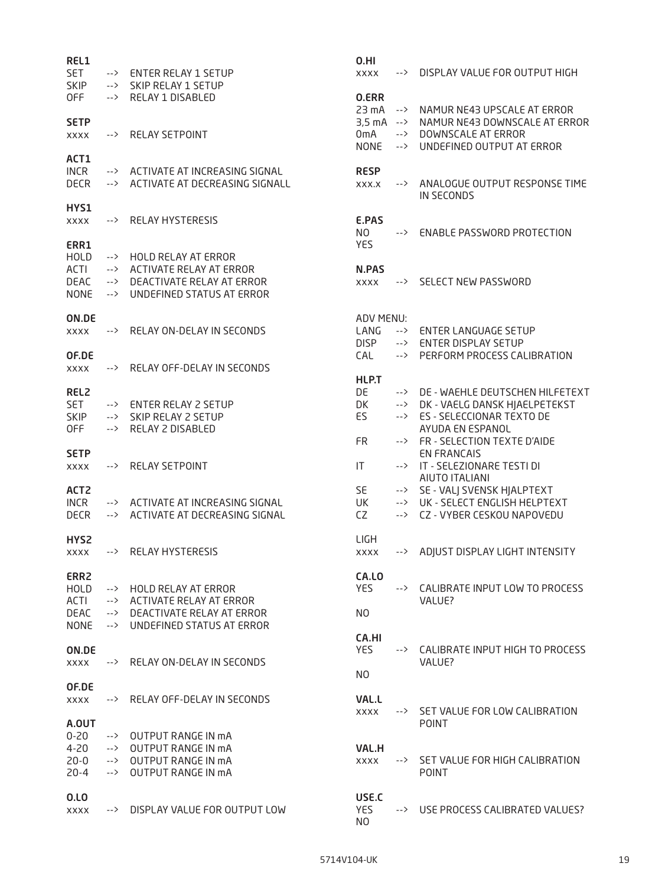| REL1<br><b>SET</b><br><b>SKIP</b>                           | -->                      | <b>ENTER RELAY 1 SETUP</b><br>SKIP RELAY 1 SETUP                                                                 | 0.HI<br><b>XXXX</b>                                             | -->           | DISPLAY VALUE FOR OUTPUT HIGH                                                                                                 |
|-------------------------------------------------------------|--------------------------|------------------------------------------------------------------------------------------------------------------|-----------------------------------------------------------------|---------------|-------------------------------------------------------------------------------------------------------------------------------|
| OFF                                                         | --><br>-->               | RELAY 1 DISABLED                                                                                                 | 0.ERR<br>23 mA                                                  | $\rightarrow$ | NAMUR NE43 UPSCALE AT ERROR                                                                                                   |
| <b>SETP</b><br><b>XXXX</b>                                  | -->                      | <b>RELAY SETPOINT</b>                                                                                            | $3,5 \text{ mA} \rightarrow$<br>0 <sub>m</sub> A<br><b>NONE</b> | --><br>-->    | NAMUR NE43 DOWNSCALE AT ERROR<br>DOWNSCALE AT ERROR<br>UNDEFINED OUTPUT AT ERROR                                              |
| ACT1<br><b>INCR</b><br><b>DECR</b>                          | -->                      | --> ACTIVATE AT INCREASING SIGNAL<br>ACTIVATE AT DECREASING SIGNALL                                              | <b>RESP</b><br>XXX.X                                            | -->           | ANALOGUE OUTPUT RESPONSE TIME<br>IN SECONDS                                                                                   |
| HYS1<br><b>XXXX</b>                                         | -->                      | <b>RELAY HYSTERESIS</b>                                                                                          | E.PAS<br>N <sub>O</sub>                                         | -->           | <b>ENABLE PASSWORD PROTECTION</b>                                                                                             |
| ERR1<br><b>HOLD</b><br>ACTI<br>DEAC                         | -->                      | HOLD RELAY AT ERROR<br>--> ACTIVATE RELAY AT ERROR<br>--> DEACTIVATE RELAY AT ERROR                              | <b>YES</b><br>N.PAS<br><b>XXXX</b>                              | -->           | <b>SELECT NEW PASSWORD</b>                                                                                                    |
| <b>NONE</b><br>ON.DE                                        | -->                      | UNDEFINED STATUS AT ERROR                                                                                        | <b>ADV MENU:</b>                                                |               |                                                                                                                               |
| <b>XXXX</b><br>OF.DE                                        | -->                      | RELAY ON-DELAY IN SECONDS                                                                                        | LANG<br><b>DISP</b>                                             | $\rightarrow$ | <b>ENTER LANGUAGE SETUP</b><br>--> ENTER DISPLAY SETUP                                                                        |
| <b>XXXX</b>                                                 | -->                      | RELAY OFF-DELAY IN SECONDS                                                                                       | <b>CAL</b><br>HLP.T                                             |               | --> PERFORM PROCESS CALIBRATION                                                                                               |
| REL <sub>2</sub><br><b>SET</b><br><b>SKIP</b><br><b>OFF</b> | --><br>--><br>-->        | <b>ENTER RELAY 2 SETUP</b><br>SKIP RELAY 2 SETUP<br>RELAY 2 DISABLED                                             | DE<br>DK<br>ES                                                  |               | --> DE - WAEHLE DEUTSCHEN HILFETEXT<br>--> DK - VAELG DANSK HJAELPETEKST<br>--> ES - SELECCIONAR TEXTO DE<br>AYUDA EN ESPANOL |
| <b>SETP</b><br><b>XXXX</b>                                  | -->                      | <b>RELAY SETPOINT</b>                                                                                            | <b>FR</b><br>IT.                                                | -->           | --> FR - SELECTION TEXTE D'AIDE<br><b>EN FRANCAIS</b><br>IT - SELEZIONARE TESTI DI<br>AIUTO ITALIANI                          |
| ACT <sub>2</sub><br><b>INCR</b><br><b>DECR</b>              | -->                      | --> ACTIVATE AT INCREASING SIGNAL<br>ACTIVATE AT DECREASING SIGNAL                                               | SE<br>UK<br>CZ                                                  |               | --> SE - VALJ SVENSK HJALPTEXT<br>--> UK - SELECT ENGLISH HELPTEXT<br>--> CZ - VYBER CESKOU NAPOVEDU                          |
| HYS <sub>2</sub><br>XXXX                                    | -->                      | <b>RELAY HYSTERESIS</b>                                                                                          | <b>LIGH</b><br><b>XXXX</b>                                      | -->           | ADJUST DISPLAY LIGHT INTENSITY                                                                                                |
| ERR <sub>2</sub><br><b>HOLD</b><br>ACTI                     | --><br>-->               | <b>HOLD RELAY AT ERROR</b><br>ACTIVATE RELAY AT ERROR                                                            | CA.LO<br><b>YES</b>                                             | -->           | CALIBRATE INPUT LOW TO PROCESS<br>VALUE?                                                                                      |
| DEAC<br><b>NONE</b>                                         | --><br>-->               | DEACTIVATE RELAY AT ERROR<br>UNDEFINED STATUS AT ERROR                                                           | NO                                                              |               |                                                                                                                               |
| ON.DE<br><b>XXXX</b>                                        | -->                      | RELAY ON-DELAY IN SECONDS                                                                                        | CA.HI<br><b>YES</b>                                             |               | --> CALIBRATE INPUT HIGH TO PROCESS<br>VALUE?                                                                                 |
| OF.DE<br><b>XXXX</b>                                        | -->                      | RELAY OFF-DELAY IN SECONDS                                                                                       | N <sub>O</sub><br><b>VAL.L</b>                                  |               |                                                                                                                               |
| A.OUT                                                       |                          |                                                                                                                  | <b>XXXX</b>                                                     | -->           | SET VALUE FOR LOW CALIBRATION<br><b>POINT</b>                                                                                 |
| $0 - 20$<br>$4 - 20$<br>$20 - 0$<br>$20 - 4$                | --><br>--><br>--><br>--> | <b>OUTPUT RANGE IN MA</b><br><b>OUTPUT RANGE IN mA</b><br><b>OUTPUT RANGE IN mA</b><br><b>OUTPUT RANGE IN MA</b> | <b>VAL.H</b><br><b>XXXX</b>                                     | $\rightarrow$ | SET VALUE FOR HIGH CALIBRATION<br><b>POINT</b>                                                                                |
| 0.LO<br><b>XXXX</b>                                         | -->                      | DISPLAY VALUE FOR OUTPUT LOW                                                                                     | USE.C<br>YES.<br>N <sub>O</sub>                                 | -->           | USE PROCESS CALIBRATED VALUES?                                                                                                |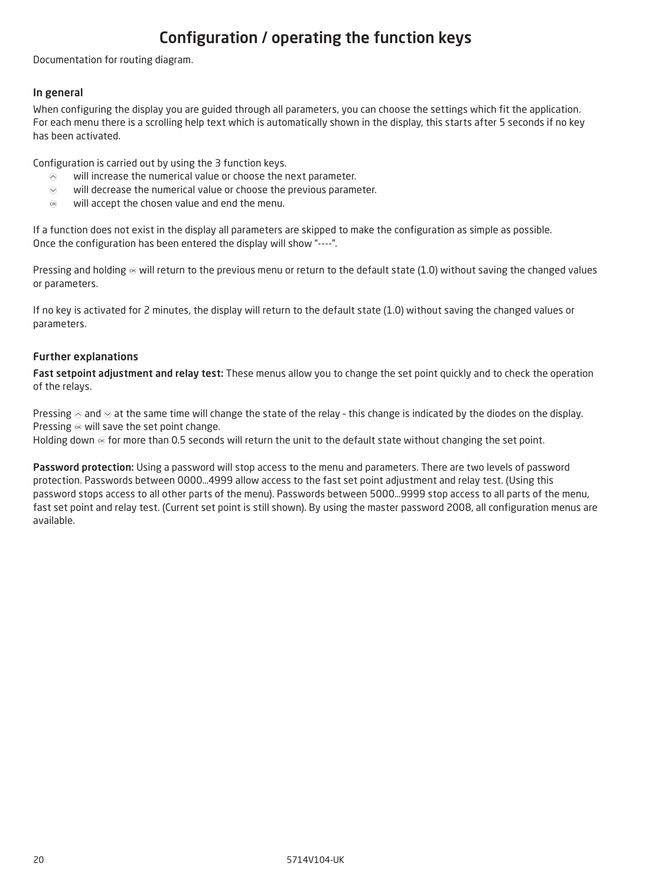## Configuration / operating the function keys

<span id="page-19-0"></span>Documentation for routing diagram.

#### In general

When configuring the display you are guided through all parameters, you can choose the settings which fit the application. For each menu there is a scrolling help text which is automatically shown in the display, this starts after 5 seconds if no key has been activated.

Configuration is carried out by using the 3 function keys.

- $\odot$  will increase the numerical value or choose the next parameter.
- $\odot$  will decrease the numerical value or choose the previous parameter.
- $\otimes$  will accept the chosen value and end the menu.

If a function does not exist in the display all parameters are skipped to make the configuration as simple as possible. Once the configuration has been entered the display will show "----".

Pressing and holding  $\otimes$  will return to the previous menu or return to the default state (1.0) without saving the changed values or parameters.

If no key is activated for 2 minutes, the display will return to the default state (1.0) without saving the changed values or parameters.

#### Further explanations

Fast setpoint adjustment and relay test: These menus allow you to change the set point quickly and to check the operation of the relays.

Pressing  $\otimes$  and  $\otimes$  at the same time will change the state of the relay - this change is indicated by the diodes on the display. Pressing  $\otimes$  will save the set point change.

Holding down  $\otimes$  for more than 0.5 seconds will return the unit to the default state without changing the set point.

Password protection: Using a password will stop access to the menu and parameters. There are two levels of password protection. Passwords between 0000…4999 allow access to the fast set point adjustment and relay test. (Using this password stops access to all other parts of the menu). Passwords between 5000…9999 stop access to all parts of the menu, fast set point and relay test. (Current set point is still shown). By using the master password 2008, all configuration menus are available.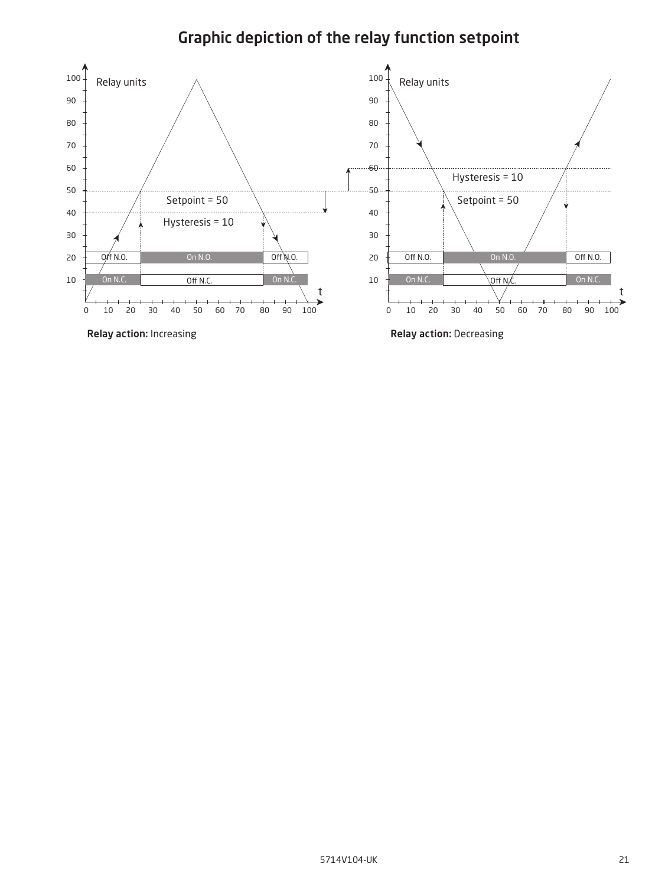## Graphic depiction of the relay function setpoint

<span id="page-20-0"></span>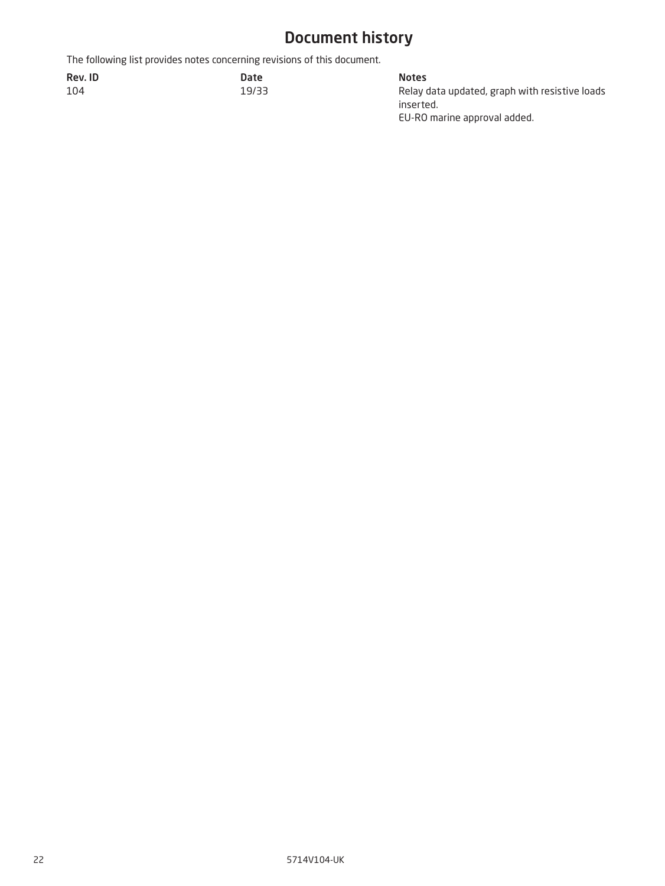## Document history

<span id="page-21-0"></span>The following list provides notes concerning revisions of this document.

| Rev. ID | Date  | <b>Notes</b> |
|---------|-------|--------------|
| 104     | 19/33 | Relay        |

19/33 Relay data updated, graph with resistive loads inserted. EU-RO marine approval added.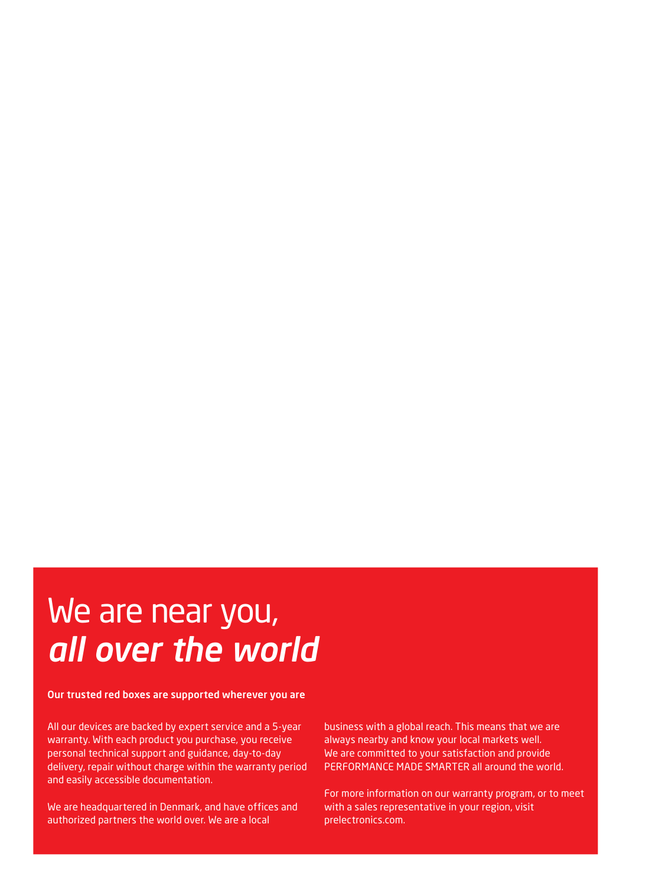## We are near you, *all over the world*

#### Our trusted red boxes are supported wherever you are

All our devices are backed by expert service and a 5-year warranty. With each product you purchase, you receive personal technical support and guidance, day-to-day delivery, repair without charge within the warranty period and easily accessible documentation.

We are headquartered in Denmark, and have offices and authorized partners the world over. We are a local

business with a global reach. This means that we are always nearby and know your local markets well. We are committed to your satisfaction and provide PERFORMANCE MADE SMARTER all around the world.

For more information on our warranty program, or to meet with a sales representative in your region, visit prelectronics.com.